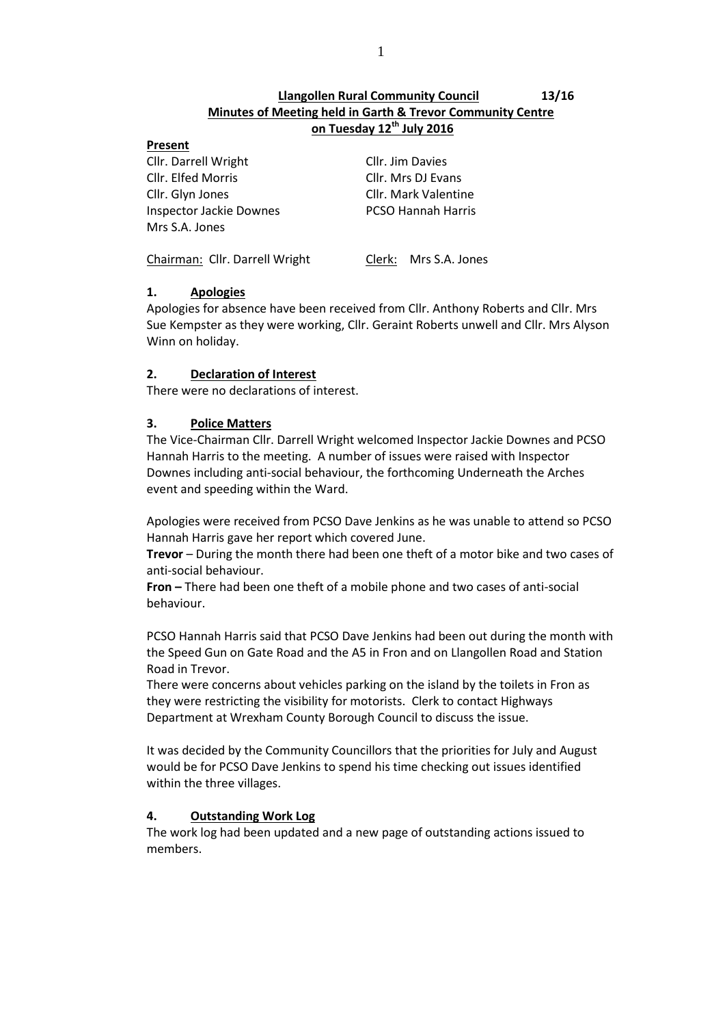# **Llangollen Rural Community Council 13/16 Minutes of Meeting held in Garth & Trevor Community Centre on Tuesday 12th July 2016**

#### **Present**

Cllr. Darrell Wright Cllr. Jim Davies Cllr. Elfed Morris Cllr. Mrs DJ Evans Cllr. Glyn Jones Cllr. Mark Valentine Inspector Jackie Downes PCSO Hannah Harris Mrs S.A. Jones

Chairman: Cllr. Darrell Wright Clerk: Mrs S.A. Jones

## **1. Apologies**

Apologies for absence have been received from Cllr. Anthony Roberts and Cllr. Mrs Sue Kempster as they were working, Cllr. Geraint Roberts unwell and Cllr. Mrs Alyson Winn on holiday.

## **2. Declaration of Interest**

There were no declarations of interest.

## **3. Police Matters**

The Vice-Chairman Cllr. Darrell Wright welcomed Inspector Jackie Downes and PCSO Hannah Harris to the meeting. A number of issues were raised with Inspector Downes including anti-social behaviour, the forthcoming Underneath the Arches event and speeding within the Ward.

Apologies were received from PCSO Dave Jenkins as he was unable to attend so PCSO Hannah Harris gave her report which covered June.

**Trevor** – During the month there had been one theft of a motor bike and two cases of anti-social behaviour.

**Fron –** There had been one theft of a mobile phone and two cases of anti-social behaviour.

PCSO Hannah Harris said that PCSO Dave Jenkins had been out during the month with the Speed Gun on Gate Road and the A5 in Fron and on Llangollen Road and Station Road in Trevor.

There were concerns about vehicles parking on the island by the toilets in Fron as they were restricting the visibility for motorists. Clerk to contact Highways Department at Wrexham County Borough Council to discuss the issue.

It was decided by the Community Councillors that the priorities for July and August would be for PCSO Dave Jenkins to spend his time checking out issues identified within the three villages.

# **4. Outstanding Work Log**

The work log had been updated and a new page of outstanding actions issued to members.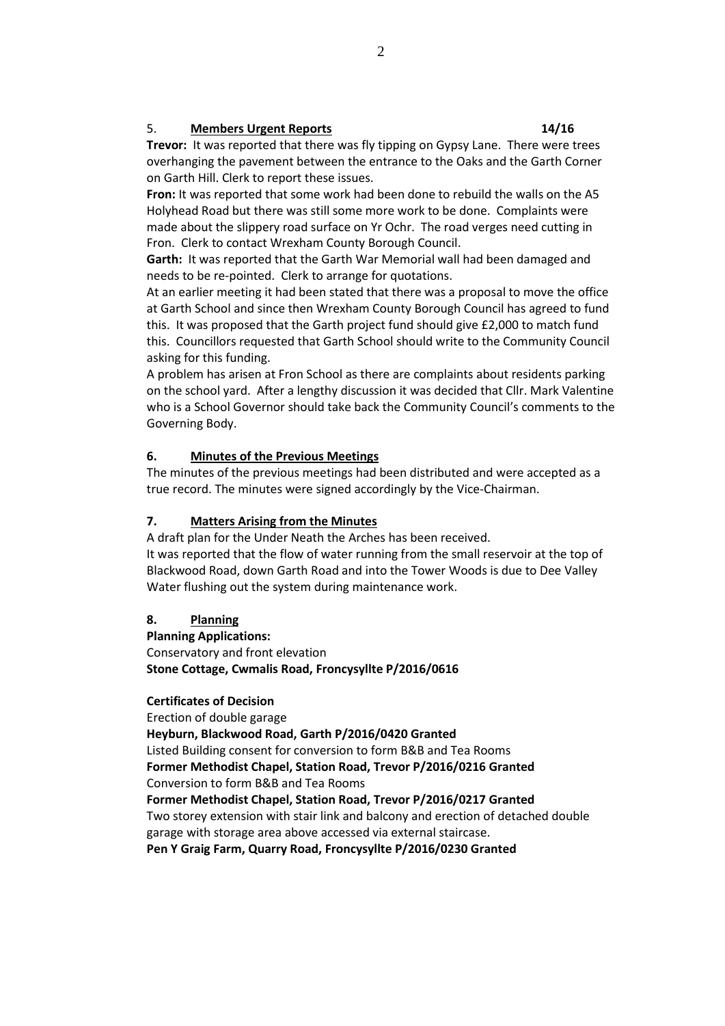## 5. **Members Urgent Reports 14/16**

**Trevor:** It was reported that there was fly tipping on Gypsy Lane. There were trees overhanging the pavement between the entrance to the Oaks and the Garth Corner on Garth Hill. Clerk to report these issues.

**Fron:** It was reported that some work had been done to rebuild the walls on the A5 Holyhead Road but there was still some more work to be done. Complaints were made about the slippery road surface on Yr Ochr. The road verges need cutting in Fron. Clerk to contact Wrexham County Borough Council.

**Garth:** It was reported that the Garth War Memorial wall had been damaged and needs to be re-pointed. Clerk to arrange for quotations.

At an earlier meeting it had been stated that there was a proposal to move the office at Garth School and since then Wrexham County Borough Council has agreed to fund this. It was proposed that the Garth project fund should give £2,000 to match fund this. Councillors requested that Garth School should write to the Community Council asking for this funding.

A problem has arisen at Fron School as there are complaints about residents parking on the school yard. After a lengthy discussion it was decided that Cllr. Mark Valentine who is a School Governor should take back the Community Council's comments to the Governing Body.

## **6. Minutes of the Previous Meetings**

The minutes of the previous meetings had been distributed and were accepted as a true record. The minutes were signed accordingly by the Vice-Chairman.

### **7. Matters Arising from the Minutes**

A draft plan for the Under Neath the Arches has been received.

It was reported that the flow of water running from the small reservoir at the top of Blackwood Road, down Garth Road and into the Tower Woods is due to Dee Valley Water flushing out the system during maintenance work.

# **8. Planning**

**Planning Applications:** Conservatory and front elevation **Stone Cottage, Cwmalis Road, Froncysyllte P/2016/0616**

### **Certificates of Decision**

Erection of double garage **Heyburn, Blackwood Road, Garth P/2016/0420 Granted** Listed Building consent for conversion to form B&B and Tea Rooms **Former Methodist Chapel, Station Road, Trevor P/2016/0216 Granted** Conversion to form B&B and Tea Rooms **Former Methodist Chapel, Station Road, Trevor P/2016/0217 Granted** Two storey extension with stair link and balcony and erection of detached double garage with storage area above accessed via external staircase.

**Pen Y Graig Farm, Quarry Road, Froncysyllte P/2016/0230 Granted**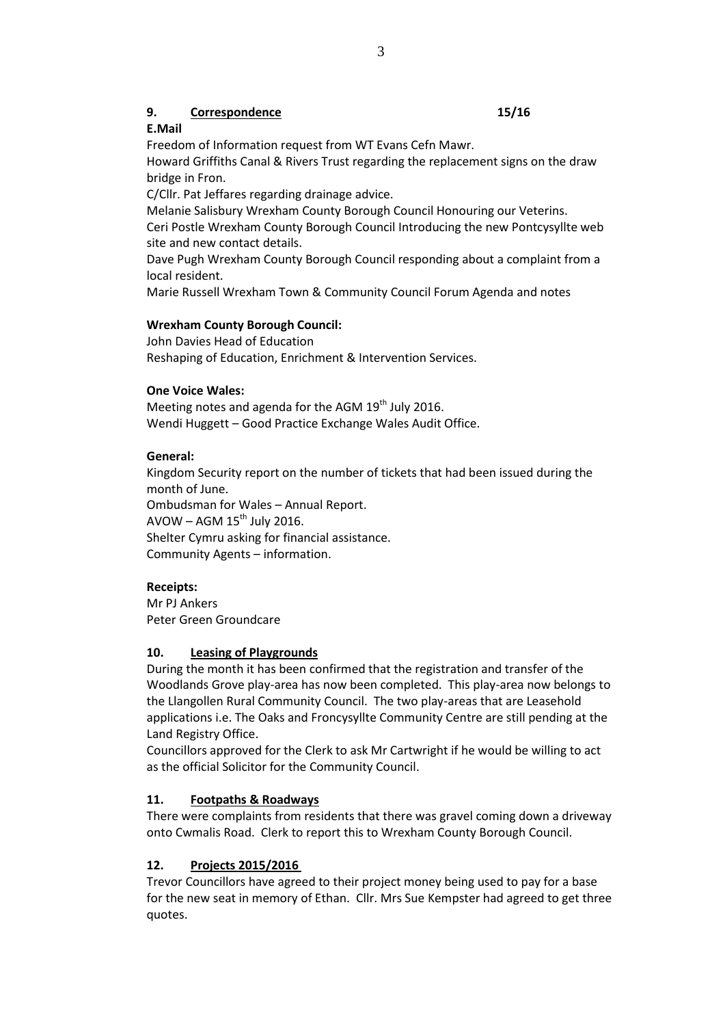## **9. Correspondence 15/16**

## **E.Mail**

Freedom of Information request from WT Evans Cefn Mawr.

Howard Griffiths Canal & Rivers Trust regarding the replacement signs on the draw bridge in Fron.

C/Cllr. Pat Jeffares regarding drainage advice.

Melanie Salisbury Wrexham County Borough Council Honouring our Veterins. Ceri Postle Wrexham County Borough Council Introducing the new Pontcysyllte web site and new contact details.

Dave Pugh Wrexham County Borough Council responding about a complaint from a local resident.

Marie Russell Wrexham Town & Community Council Forum Agenda and notes

## **Wrexham County Borough Council:**

John Davies Head of Education Reshaping of Education, Enrichment & Intervention Services.

### **One Voice Wales:**

Meeting notes and agenda for the AGM 19<sup>th</sup> July 2016. Wendi Huggett – Good Practice Exchange Wales Audit Office.

## **General:**

Kingdom Security report on the number of tickets that had been issued during the month of June. Ombudsman for Wales – Annual Report.

 $AVOW - AGM 15<sup>th</sup>$  July 2016. Shelter Cymru asking for financial assistance. Community Agents – information.

### **Receipts:**

Mr PJ Ankers Peter Green Groundcare

### **10. Leasing of Playgrounds**

During the month it has been confirmed that the registration and transfer of the Woodlands Grove play-area has now been completed. This play-area now belongs to the Llangollen Rural Community Council. The two play-areas that are Leasehold applications i.e. The Oaks and Froncysyllte Community Centre are still pending at the Land Registry Office.

Councillors approved for the Clerk to ask Mr Cartwright if he would be willing to act as the official Solicitor for the Community Council.

# **11. Footpaths & Roadways**

There were complaints from residents that there was gravel coming down a driveway onto Cwmalis Road. Clerk to report this to Wrexham County Borough Council.

# **12. Projects 2015/2016**

Trevor Councillors have agreed to their project money being used to pay for a base for the new seat in memory of Ethan. Cllr. Mrs Sue Kempster had agreed to get three quotes.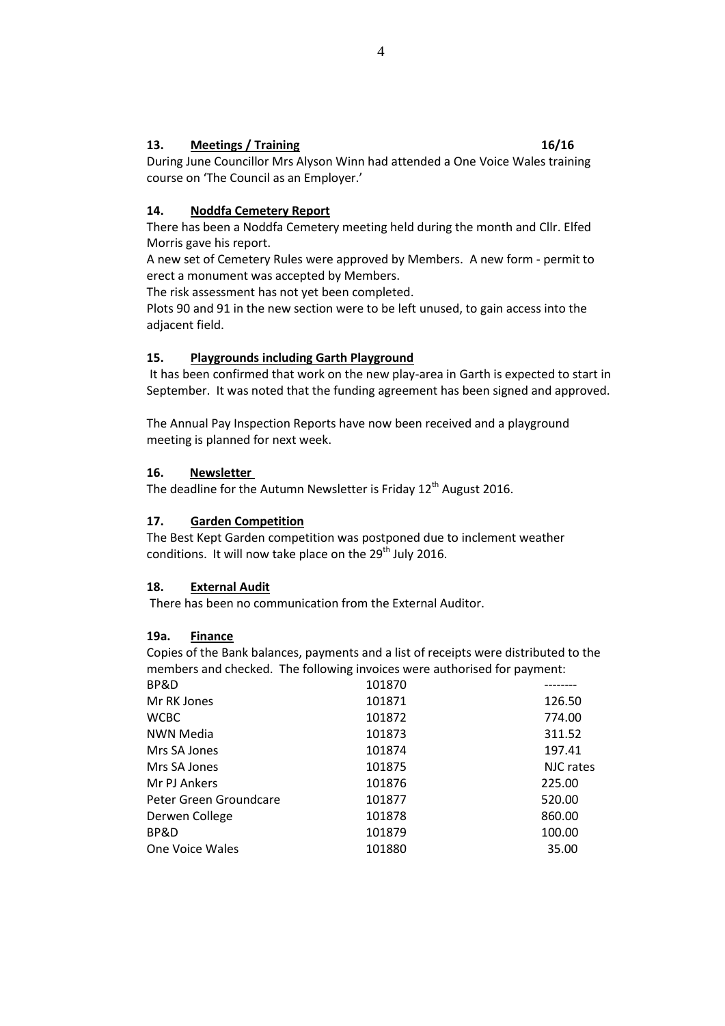## **13. Meetings / Training 16/16**

During June Councillor Mrs Alyson Winn had attended a One Voice Wales training course on 'The Council as an Employer.'

## **14. Noddfa Cemetery Report**

There has been a Noddfa Cemetery meeting held during the month and Cllr. Elfed Morris gave his report.

A new set of Cemetery Rules were approved by Members. A new form - permit to erect a monument was accepted by Members.

The risk assessment has not yet been completed.

Plots 90 and 91 in the new section were to be left unused, to gain access into the adjacent field.

## **15. Playgrounds including Garth Playground**

It has been confirmed that work on the new play-area in Garth is expected to start in September. It was noted that the funding agreement has been signed and approved.

The Annual Pay Inspection Reports have now been received and a playground meeting is planned for next week.

### **16. Newsletter**

The deadline for the Autumn Newsletter is Friday  $12<sup>th</sup>$  August 2016.

### **17. Garden Competition**

The Best Kept Garden competition was postponed due to inclement weather conditions. It will now take place on the  $29<sup>th</sup>$  July 2016.

### **18. External Audit**

There has been no communication from the External Auditor.

### **19a. Finance**

Copies of the Bank balances, payments and a list of receipts were distributed to the members and checked. The following invoices were authorised for payment:

| BP&D                   | 101870 |           |
|------------------------|--------|-----------|
| Mr RK Jones            | 101871 | 126.50    |
| <b>WCBC</b>            | 101872 | 774.00    |
| <b>NWN Media</b>       | 101873 | 311.52    |
| Mrs SA Jones           | 101874 | 197.41    |
| Mrs SA Jones           | 101875 | NJC rates |
| Mr PJ Ankers           | 101876 | 225.00    |
| Peter Green Groundcare | 101877 | 520.00    |
| Derwen College         | 101878 | 860.00    |
| BP&D                   | 101879 | 100.00    |
| One Voice Wales        | 101880 | 35.00     |
|                        |        |           |